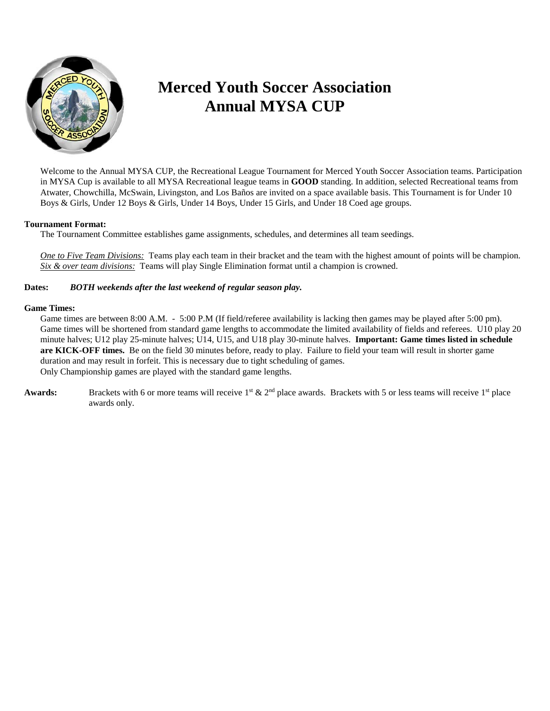

## **Merced Youth Soccer Association Annual MYSA CUP**

Welcome to the Annual MYSA CUP, the Recreational League Tournament for Merced Youth Soccer Association teams. Participation in MYSA Cup is available to all MYSA Recreational league teams in **GOOD** standing. In addition, selected Recreational teams from Atwater, Chowchilla, McSwain, Livingston, and Los Baños are invited on a space available basis. This Tournament is for Under 10 Boys & Girls, Under 12 Boys & Girls, Under 14 Boys, Under 15 Girls, and Under 18 Coed age groups.

#### **Tournament Format:**

The Tournament Committee establishes game assignments, schedules, and determines all team seedings.

*One to Five Team Divisions:* Teams play each team in their bracket and the team with the highest amount of points will be champion. *Six & over team divisions:* Teams will play Single Elimination format until a champion is crowned.

#### **Dates:** *BOTH weekends after the last weekend of regular season play.*

#### **Game Times:**

Game times are between 8:00 A.M. - 5:00 P.M (If field/referee availability is lacking then games may be played after 5:00 pm). Game times will be shortened from standard game lengths to accommodate the limited availability of fields and referees. U10 play 20 minute halves; U12 play 25-minute halves; U14, U15, and U18 play 30-minute halves. **Important: Game times listed in schedule are KICK-OFF times.** Be on the field 30 minutes before, ready to play. Failure to field your team will result in shorter game duration and may result in forfeit. This is necessary due to tight scheduling of games. Only Championship games are played with the standard game lengths.

Awards: Brackets with 6 or more teams will receive 1<sup>st</sup> & 2<sup>nd</sup> place awards. Brackets with 5 or less teams will receive 1<sup>st</sup> place awards only.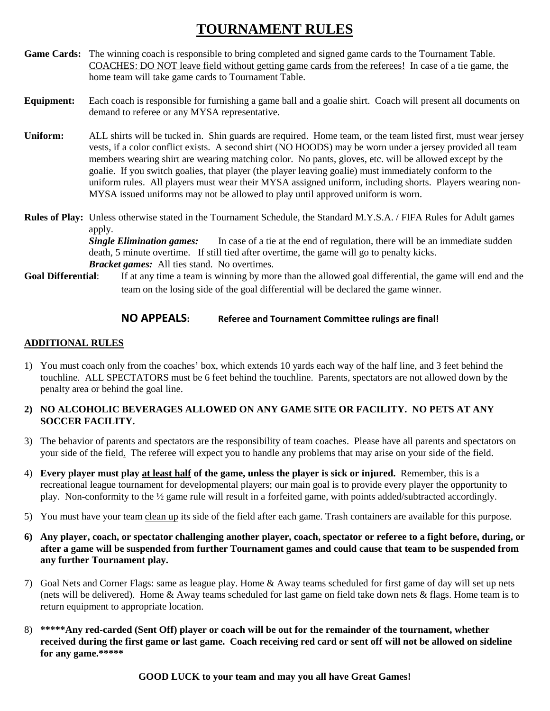## **TOURNAMENT RULES**

**Game Cards:** The winning coach is responsible to bring completed and signed game cards to the Tournament Table. COACHES: DO NOT leave field without getting game cards from the referees! In case of a tie game, the home team will take game cards to Tournament Table.

#### **Equipment:** Each coach is responsible for furnishing a game ball and a goalie shirt. Coach will present all documents on demand to referee or any MYSA representative.

**Uniform:** ALL shirts will be tucked in. Shin guards are required. Home team, or the team listed first, must wear jersey vests, if a color conflict exists. A second shirt (NO HOODS) may be worn under a jersey provided all team members wearing shirt are wearing matching color. No pants, gloves, etc. will be allowed except by the goalie. If you switch goalies, that player (the player leaving goalie) must immediately conform to the uniform rules. All players must wear their MYSA assigned uniform, including shorts. Players wearing non-MYSA issued uniforms may not be allowed to play until approved uniform is worn.

**Rules of Play:** Unless otherwise stated in the Tournament Schedule, the Standard M.Y.S.A. / FIFA Rules for Adult games apply.

> **Single Elimination games:** In case of a tie at the end of regulation, there will be an immediate sudden death, 5 minute overtime. If still tied after overtime, the game will go to penalty kicks. *Bracket games:* All ties stand. No overtimes.

**Goal Differential**: If at any time a team is winning by more than the allowed goal differential, the game will end and the team on the losing side of the goal differential will be declared the game winner.

#### **NO APPEALS: Referee and Tournament Committee rulings are final!**

#### **ADDITIONAL RULES**

1) You must coach only from the coaches' box, which extends 10 yards each way of the half line, and 3 feet behind the touchline. ALL SPECTATORS must be 6 feet behind the touchline. Parents, spectators are not allowed down by the penalty area or behind the goal line.

#### **2) NO ALCOHOLIC BEVERAGES ALLOWED ON ANY GAME SITE OR FACILITY. NO PETS AT ANY SOCCER FACILITY.**

- 3) The behavior of parents and spectators are the responsibility of team coaches. Please have all parents and spectators on your side of the field. The referee will expect you to handle any problems that may arise on your side of the field.
- 4) **Every player must play at least half of the game, unless the player is sick or injured.** Remember, this is a recreational league tournament for developmental players; our main goal is to provide every player the opportunity to play. Non-conformity to the ½ game rule will result in a forfeited game, with points added/subtracted accordingly.
- 5) You must have your team clean up its side of the field after each game. Trash containers are available for this purpose.
- **6) Any player, coach, or spectator challenging another player, coach, spectator or referee to a fight before, during, or after a game will be suspended from further Tournament games and could cause that team to be suspended from any further Tournament play.**
- 7) Goal Nets and Corner Flags: same as league play. Home & Away teams scheduled for first game of day will set up nets (nets will be delivered). Home  $\&$  Away teams scheduled for last game on field take down nets  $\&$  flags. Home team is to return equipment to appropriate location.
- 8) **\*\*\*\*\*Any red-carded (Sent Off) player or coach will be out for the remainder of the tournament, whether received during the first game or last game. Coach receiving red card or sent off will not be allowed on sideline for any game.\*\*\*\*\***